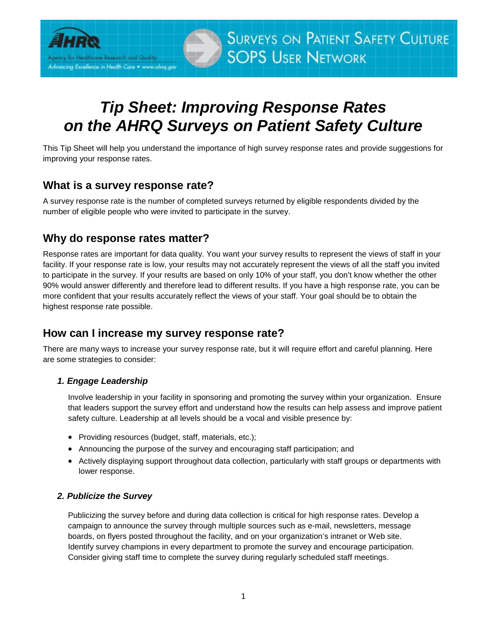

# *Tip Sheet: Improving Response Rates on the AHRQ Surveys on Patient Safety Culture*

This Tip Sheet will help you understand the importance of high survey response rates and provide suggestions for improving your response rates.

## **What is a survey response rate?**

A survey response rate is the number of completed surveys returned by eligible respondents divided by the number of eligible people who were invited to participate in the survey.

## **Why do response rates matter?**

Response rates are important for data quality. You want your survey results to represent the views of staff in your facility. If your response rate is low, your results may not accurately represent the views of all the staff you invited to participate in the survey. If your results are based on only 10% of your staff, you don't know whether the other 90% would answer differently and therefore lead to different results. If you have a high response rate, you can be more confident that your results accurately reflect the views of your staff. Your goal should be to obtain the highest response rate possible.

# **How can I increase my survey response rate?**

There are many ways to increase your survey response rate, but it will require effort and careful planning. Here are some strategies to consider:

## *1. Engage Leadership*

Involve leadership in your facility in sponsoring and promoting the survey within your organization. Ensure that leaders support the survey effort and understand how the results can help assess and improve patient safety culture. Leadership at all levels should be a vocal and visible presence by:

- Providing resources (budget, staff, materials, etc.);
- Announcing the purpose of the survey and encouraging staff participation; and
- Actively displaying support throughout data collection, particularly with staff groups or departments with lower response.

#### *2. Publicize the Survey*

Publicizing the survey before and during data collection is critical for high response rates. Develop a campaign to announce the survey through multiple sources such as e-mail, newsletters, message boards, on flyers posted throughout the facility, and on your organization's intranet or Web site. Identify survey champions in every department to promote the survey and encourage participation. Consider giving staff time to complete the survey during regularly scheduled staff meetings.